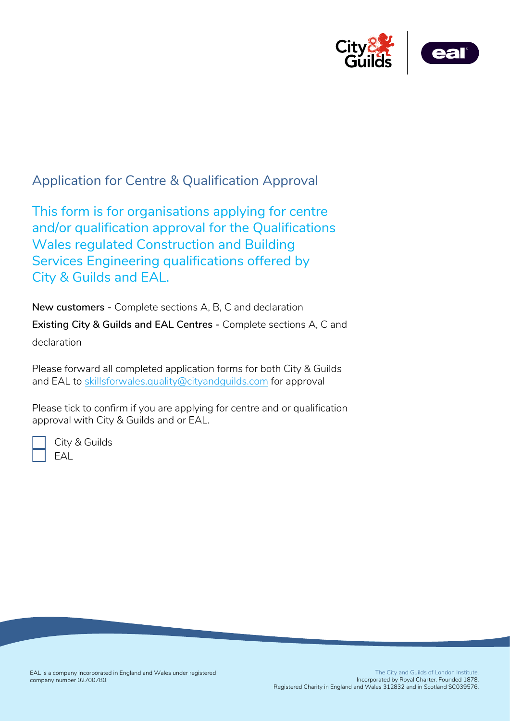



Application for Centre & Qualification Approval

This form is for organisations applying for centre and/or qualification approval for the Qualifications Wales regulated Construction and Building Services Engineering qualifications offered by City & Guilds and EAL.

**New customers -** Complete sections A, B, C and declaration

**Existing City & Guilds and EAL Centres -** Complete sections A, C and declaration

Please forward all completed application forms for both City & Guilds and EAL to skillsforwales.quality@cityandquilds.com for approval

Please tick to confirm if you are applying for centre and or qualification approval with City & Guilds and or EAL.

 City & Guilds **FAL**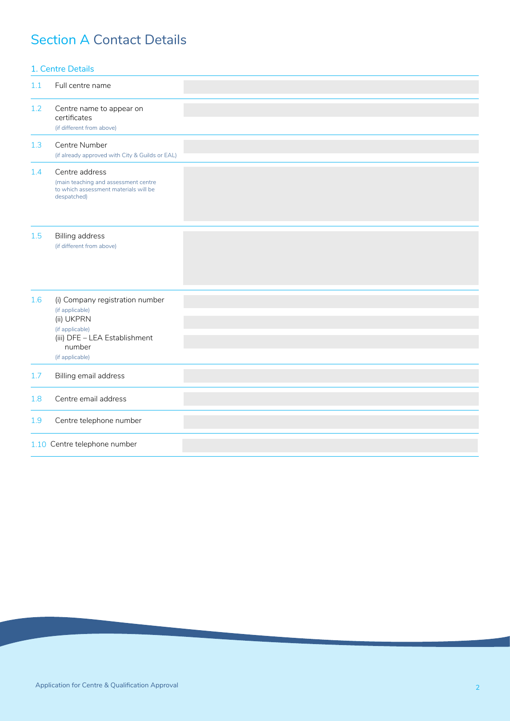# Section A Contact Details

### 1. Centre Details

| 1.1 | Full centre name                                                                                                                                  |  |
|-----|---------------------------------------------------------------------------------------------------------------------------------------------------|--|
| 1.2 | Centre name to appear on<br>certificates<br>(if different from above)                                                                             |  |
| 1.3 | Centre Number<br>(if already approved with City & Guilds or EAL)                                                                                  |  |
| 1.4 | Centre address<br>(main teaching and assessment centre<br>to which assessment materials will be<br>despatched)                                    |  |
| 1.5 | <b>Billing address</b><br>(if different from above)                                                                                               |  |
| 1.6 | (i) Company registration number<br>(if applicable)<br>(ii) UKPRN<br>(if applicable)<br>(iii) DFE - LEA Establishment<br>number<br>(if applicable) |  |
| 1.7 | Billing email address                                                                                                                             |  |
| 1.8 | Centre email address                                                                                                                              |  |
| 1.9 | Centre telephone number                                                                                                                           |  |
|     | 1.10 Centre telephone number                                                                                                                      |  |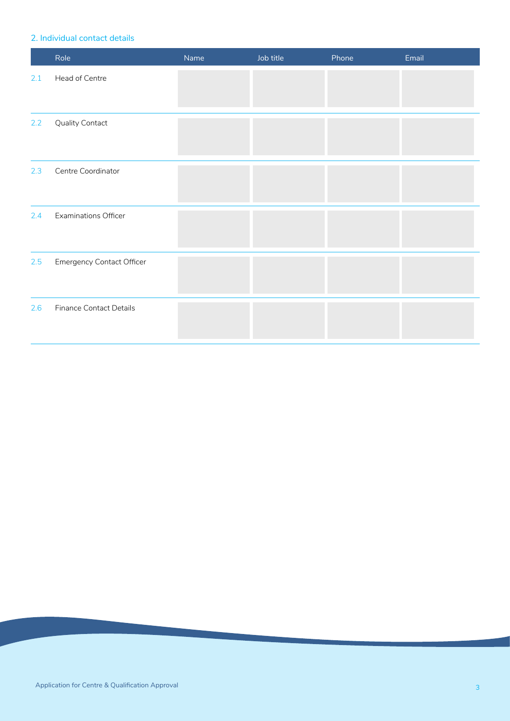## 2. Individual contact details

|     | Role                             | Name | Job title | Phone | Email |
|-----|----------------------------------|------|-----------|-------|-------|
| 2.1 | Head of Centre                   |      |           |       |       |
| 2.2 | <b>Quality Contact</b>           |      |           |       |       |
| 2.3 | Centre Coordinator               |      |           |       |       |
| 2.4 | Examinations Officer             |      |           |       |       |
| 2.5 | <b>Emergency Contact Officer</b> |      |           |       |       |
| 2.6 | <b>Finance Contact Details</b>   |      |           |       |       |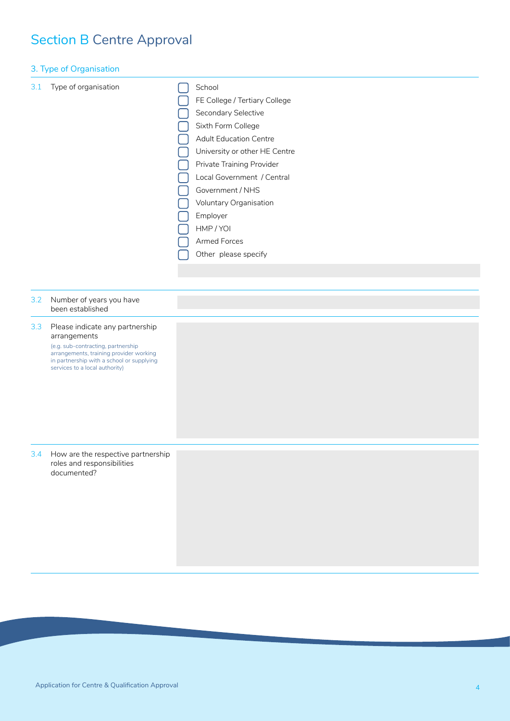# Section B Centre Approval

## 3. Type of Organisation

| 3.1 | Type of organisation | School                        |
|-----|----------------------|-------------------------------|
|     |                      | FE College / Tertiary College |
|     |                      | Secondary Selective           |
|     |                      | Sixth Form College            |
|     |                      | <b>Adult Education Centre</b> |
|     |                      | University or other HE Centre |
|     |                      | Private Training Provider     |
|     |                      | Local Government / Central    |
|     |                      | Government / NHS              |
|     |                      | Voluntary Organisation        |
|     |                      | Employer                      |
|     |                      | HMP / YOI                     |
|     |                      | Armed Forces                  |
|     |                      | Other please specify          |
|     |                      |                               |

#### 3.2 Number of years you have been established

#### 3.3 Please indicate any partnership arrangements

(e.g. sub-contracting, partnership arrangements, training provider working in partnership with a school or supplying services to a local authority)

3.4 How are the respective partnership roles and responsibilities documented?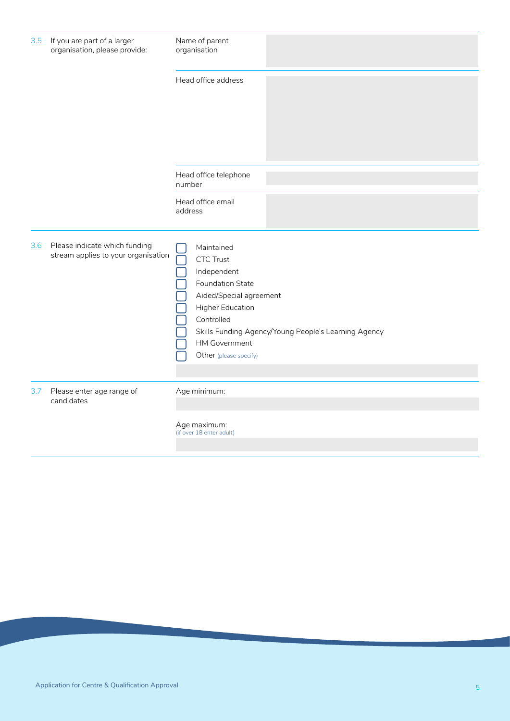| 3.5 | If you are part of a larger<br>organisation, please provide:         | Name of parent<br>organisation                                                                                                                                                                                                                  |
|-----|----------------------------------------------------------------------|-------------------------------------------------------------------------------------------------------------------------------------------------------------------------------------------------------------------------------------------------|
|     |                                                                      | Head office address                                                                                                                                                                                                                             |
|     |                                                                      | Head office telephone<br>number                                                                                                                                                                                                                 |
|     |                                                                      | Head office email<br>address                                                                                                                                                                                                                    |
| 3.6 | Please indicate which funding<br>stream applies to your organisation | Maintained<br><b>CTC Trust</b><br>Independent<br>Foundation State<br>Aided/Special agreement<br><b>Higher Education</b><br>Controlled<br>Skills Funding Agency/Young People's Learning Agency<br><b>HM Government</b><br>Other (please specify) |
| 3.7 | Please enter age range of<br>candidates                              | Age minimum:                                                                                                                                                                                                                                    |
|     |                                                                      | Age maximum:<br>(if over 18 enter adult)                                                                                                                                                                                                        |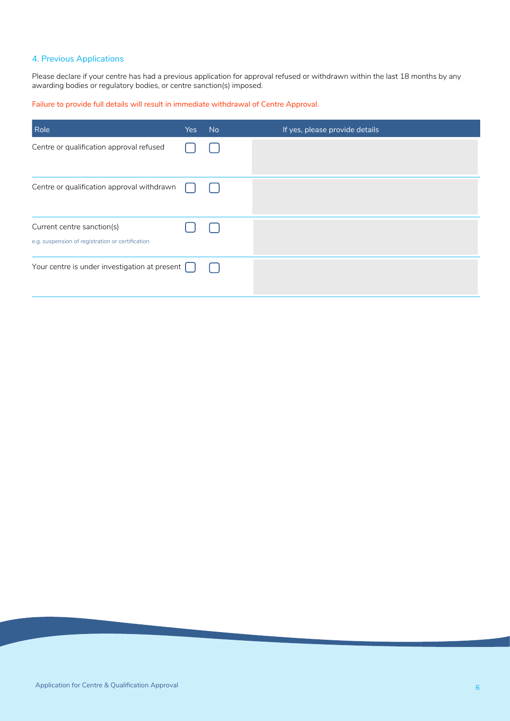### 4. Previous Applications

Please declare if your centre has had a previous application for approval refused or withdrawn within the last 18 months by any awarding bodies or regulatory bodies, or centre sanction(s) imposed.

#### Failure to provide full details will result in immediate withdrawal of Centre Approval.

| Role                                                                           | Yes | <b>No</b> | If yes, please provide details |
|--------------------------------------------------------------------------------|-----|-----------|--------------------------------|
| Centre or qualification approval refused                                       |     |           |                                |
| Centre or qualification approval withdrawn                                     |     |           |                                |
| Current centre sanction(s)<br>e.g. suspension of registration or certification |     |           |                                |
| Your centre is under investigation at present [                                |     | $\Box$    |                                |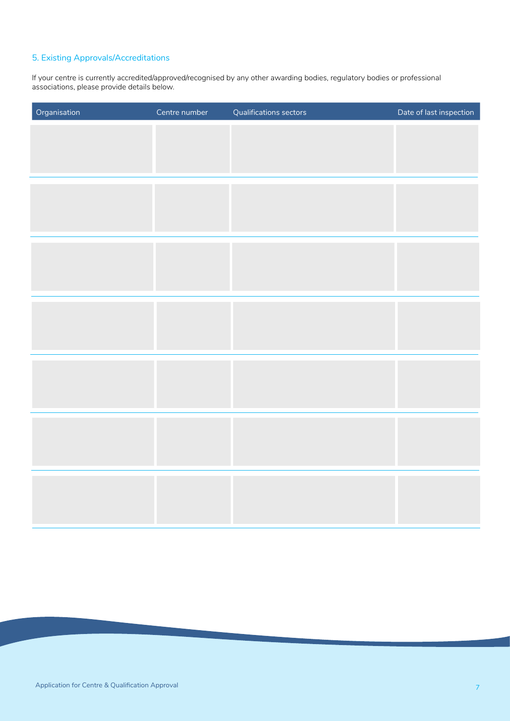# 5. Existing Approvals/Accreditations

If your centre is currently accredited/approved/recognised by any other awarding bodies, regulatory bodies or professional associations, please provide details below.

| Organisation | Centre number | Qualifications sectors | Date of last inspection |
|--------------|---------------|------------------------|-------------------------|
|              |               |                        |                         |
|              |               |                        |                         |
|              |               |                        |                         |
|              |               |                        |                         |
|              |               |                        |                         |
|              |               |                        |                         |
|              |               |                        |                         |
|              |               |                        |                         |
|              |               |                        |                         |
|              |               |                        |                         |
|              |               |                        |                         |
|              |               |                        |                         |
|              |               |                        |                         |
|              |               |                        |                         |
|              |               |                        |                         |
|              |               |                        |                         |
|              |               |                        |                         |
|              |               |                        |                         |
|              |               |                        |                         |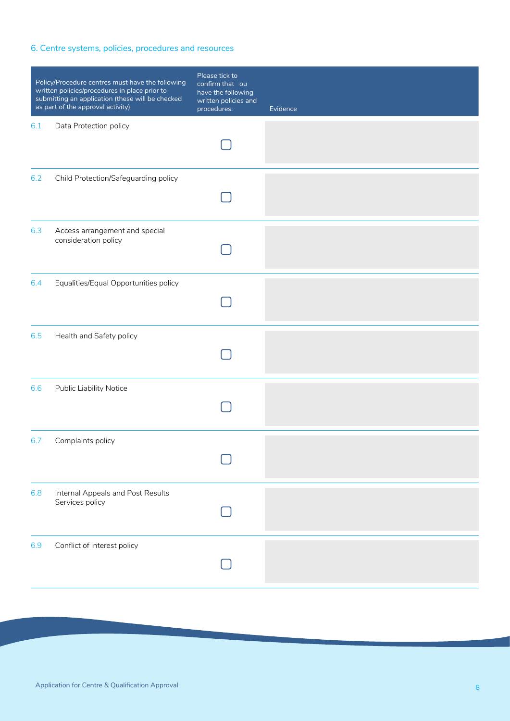# 6. Centre systems, policies, procedures and resources

|     | Policy/Procedure centres must have the following<br>written policies/procedures in place prior to<br>submitting an application (these will be checked<br>as part of the approval activity) | Please tick to<br>confirm that ou<br>have the following<br>written policies and<br>procedures: | Evidence |
|-----|--------------------------------------------------------------------------------------------------------------------------------------------------------------------------------------------|------------------------------------------------------------------------------------------------|----------|
| 6.1 | Data Protection policy                                                                                                                                                                     |                                                                                                |          |
| 6.2 | Child Protection/Safeguarding policy                                                                                                                                                       |                                                                                                |          |
| 6.3 | Access arrangement and special<br>consideration policy                                                                                                                                     |                                                                                                |          |
| 6.4 | Equalities/Equal Opportunities policy                                                                                                                                                      |                                                                                                |          |
| 6.5 | Health and Safety policy                                                                                                                                                                   |                                                                                                |          |
| 6.6 | Public Liability Notice                                                                                                                                                                    |                                                                                                |          |
| 6.7 | Complaints policy                                                                                                                                                                          |                                                                                                |          |
| 6.8 | Internal Appeals and Post Results<br>Services policy                                                                                                                                       |                                                                                                |          |
| 6.9 | Conflict of interest policy                                                                                                                                                                |                                                                                                |          |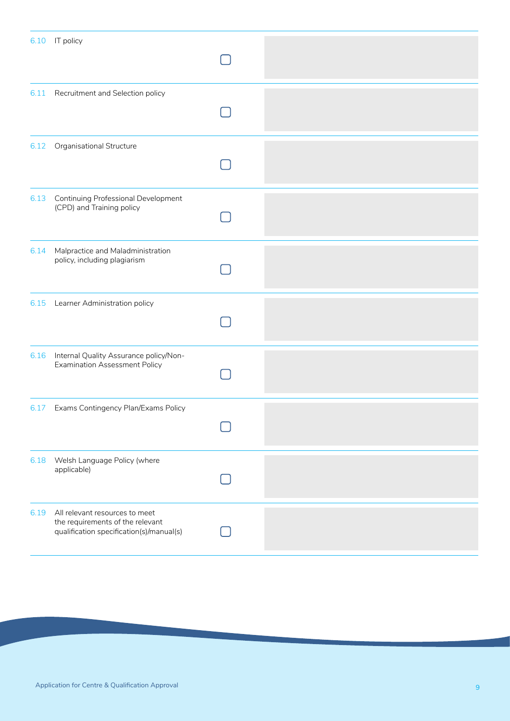|      | 6.10 IT policy                                                                                                 |  |
|------|----------------------------------------------------------------------------------------------------------------|--|
| 6.11 | Recruitment and Selection policy                                                                               |  |
| 6.12 | Organisational Structure                                                                                       |  |
| 6.13 | <b>Continuing Professional Development</b><br>(CPD) and Training policy                                        |  |
| 6.14 | Malpractice and Maladministration<br>policy, including plagiarism                                              |  |
|      | 6.15 Learner Administration policy                                                                             |  |
| 6.16 | Internal Quality Assurance policy/Non-<br><b>Examination Assessment Policy</b>                                 |  |
| 6.17 | Exams Contingency Plan/Exams Policy                                                                            |  |
| 6.18 | Welsh Language Policy (where<br>applicable)                                                                    |  |
| 6.19 | All relevant resources to meet<br>the requirements of the relevant<br>qualification specification(s)/manual(s) |  |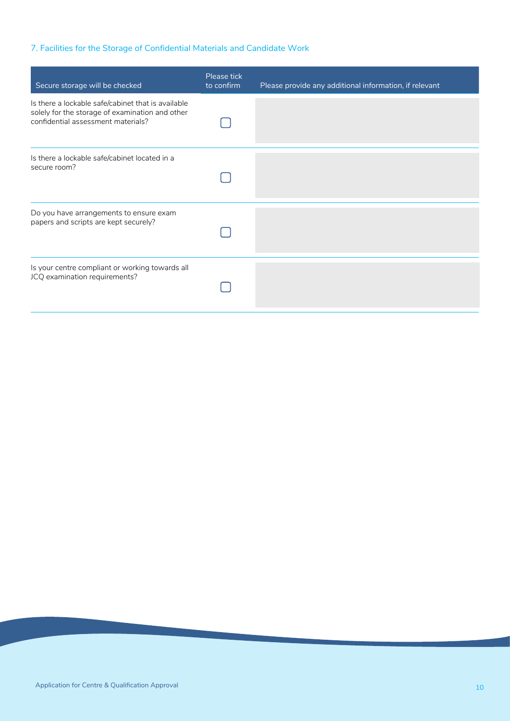# 7. Facilities for the Storage of Confidential Materials and Candidate Work

| Secure storage will be checked                                                                                                              | Please tick<br>to confirm | Please provide any additional information, if relevant |
|---------------------------------------------------------------------------------------------------------------------------------------------|---------------------------|--------------------------------------------------------|
| Is there a lockable safe/cabinet that is available<br>solely for the storage of examination and other<br>confidential assessment materials? |                           |                                                        |
| Is there a lockable safe/cabinet located in a<br>secure room?                                                                               |                           |                                                        |
| Do you have arrangements to ensure exam<br>papers and scripts are kept securely?                                                            |                           |                                                        |
| Is your centre compliant or working towards all<br>JCQ examination requirements?                                                            |                           |                                                        |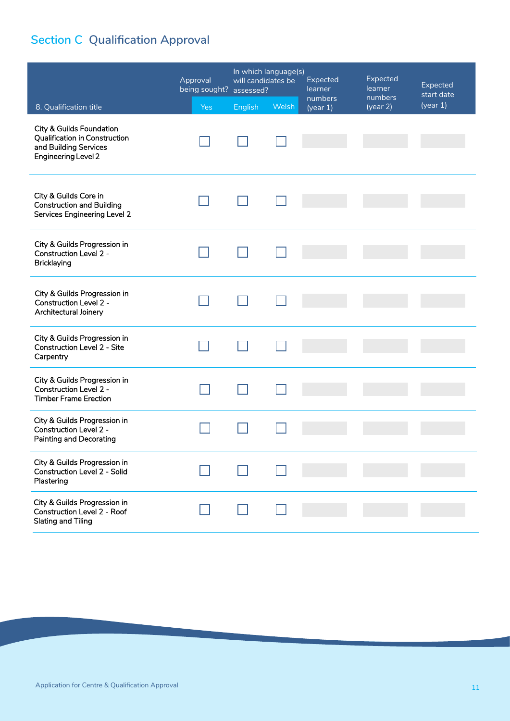# **Section C Qualification Approval**

|                                                                                                                  | Approval<br>being sought? assessed? | In which language(s)<br>will candidates be |       | Expected<br><b>learner</b> | Expected<br>learner | <b>Expected</b><br>start date |
|------------------------------------------------------------------------------------------------------------------|-------------------------------------|--------------------------------------------|-------|----------------------------|---------------------|-------------------------------|
| 8. Qualification title                                                                                           | <b>Yes</b>                          | English                                    | Welsh | numbers<br>(year 1)        | numbers<br>(year 2) | (year 1)                      |
| City & Guilds Foundation<br><b>Qualification in Construction</b><br>and Building Services<br>Engineering Level 2 |                                     |                                            |       |                            |                     |                               |
| City & Guilds Core in<br><b>Construction and Building</b><br>Services Engineering Level 2                        |                                     |                                            |       |                            |                     |                               |
| City & Guilds Progression in<br>Construction Level 2 -<br><b>Bricklaying</b>                                     |                                     |                                            |       |                            |                     |                               |
| City & Guilds Progression in<br>Construction Level 2 -<br>Architectural Joinery                                  |                                     |                                            |       |                            |                     |                               |
| City & Guilds Progression in<br><b>Construction Level 2 - Site</b><br>Carpentry                                  |                                     |                                            |       |                            |                     |                               |
| City & Guilds Progression in<br>Construction Level 2 -<br><b>Timber Frame Erection</b>                           |                                     |                                            |       |                            |                     |                               |
| City & Guilds Progression in<br>Construction Level 2 -<br><b>Painting and Decorating</b>                         |                                     |                                            |       |                            |                     |                               |
| City & Guilds Progression in<br><b>Construction Level 2 - Solid</b><br>Plastering                                |                                     |                                            |       |                            |                     |                               |
| City & Guilds Progression in<br>Construction Level 2 - Roof<br><b>Slating and Tiling</b>                         |                                     |                                            |       |                            |                     |                               |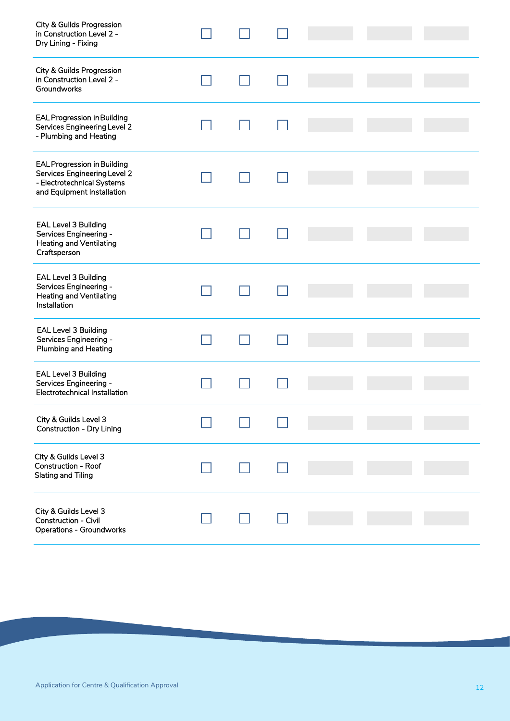| City & Guilds Progression<br>in Construction Level 2 -<br>Dry Lining - Fixing                                                  |  |  |  |
|--------------------------------------------------------------------------------------------------------------------------------|--|--|--|
| City & Guilds Progression<br>in Construction Level 2 -<br>Groundworks                                                          |  |  |  |
| <b>EAL Progression in Building</b><br>Services Engineering Level 2<br>- Plumbing and Heating                                   |  |  |  |
| <b>EAL Progression in Building</b><br>Services Engineering Level 2<br>- Electrotechnical Systems<br>and Equipment Installation |  |  |  |
| <b>EAL Level 3 Building</b><br>Services Engineering -<br><b>Heating and Ventilating</b><br>Craftsperson                        |  |  |  |
| <b>EAL Level 3 Building</b><br>Services Engineering -<br><b>Heating and Ventilating</b><br>Installation                        |  |  |  |
| EAL Level 3 Building<br>Services Engineering -<br><b>Plumbing and Heating</b>                                                  |  |  |  |
| EAL Level 3 Building<br>Services Engineering -<br>Electrotechnical Installation                                                |  |  |  |
| City & Guilds Level 3<br><b>Construction - Dry Lining</b>                                                                      |  |  |  |
| City & Guilds Level 3<br>Construction - Roof<br><b>Slating and Tiling</b>                                                      |  |  |  |
| City & Guilds Level 3<br>Construction - Civil<br><b>Operations - Groundworks</b>                                               |  |  |  |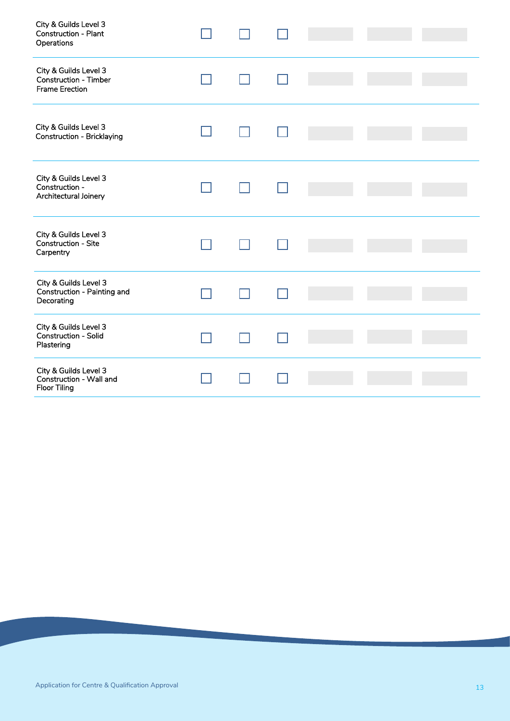| City & Guilds Level 3<br>Construction - Plant<br>Operations                    |  |  |  |
|--------------------------------------------------------------------------------|--|--|--|
| City & Guilds Level 3<br><b>Construction - Timber</b><br><b>Frame Erection</b> |  |  |  |
| City & Guilds Level 3<br>Construction - Bricklaying                            |  |  |  |
| City & Guilds Level 3<br>Construction -<br>Architectural Joinery               |  |  |  |
| City & Guilds Level 3<br>Construction - Site<br>Carpentry                      |  |  |  |
| City & Guilds Level 3<br>Construction - Painting and<br>Decorating             |  |  |  |
| City & Guilds Level 3<br><b>Construction - Solid</b><br>Plastering             |  |  |  |
| City & Guilds Level 3<br>Construction - Wall and<br><b>Floor Tiling</b>        |  |  |  |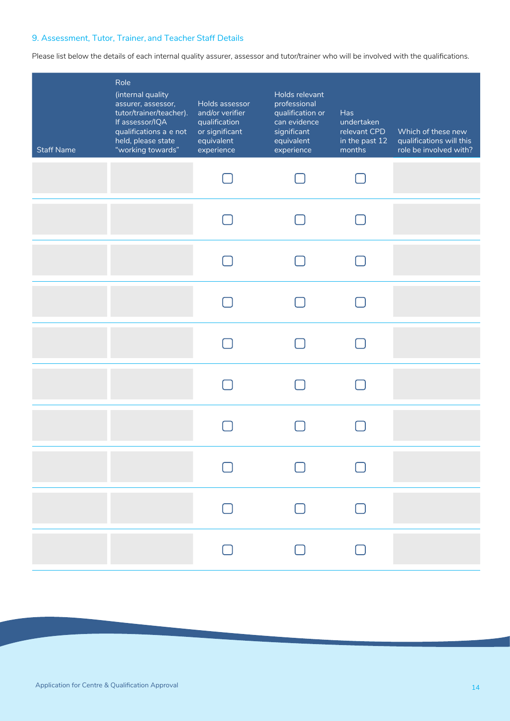## 9. Assessment, Tutor, Trainer, and Teacher Staff Details

Please list below the details of each internal quality assurer, assessor and tutor/trainer who will be involved with the qualifications.

| <b>Staff Name</b> | Role<br>(internal quality<br>assurer, assessor,<br>tutor/trainer/teacher).<br>If assessor/IQA<br>qualifications a e not<br>held, please state<br>"working towards" | Holds assessor<br>and/or verifier<br>qualification<br>or significant<br>equivalent<br>experience | Holds relevant<br>professional<br>qualification or<br>can evidence<br>significant<br>equivalent<br>experience | Has<br>undertaken<br>relevant CPD<br>in the past 12<br>months | Which of these new<br>qualifications will this<br>role be involved with? |
|-------------------|--------------------------------------------------------------------------------------------------------------------------------------------------------------------|--------------------------------------------------------------------------------------------------|---------------------------------------------------------------------------------------------------------------|---------------------------------------------------------------|--------------------------------------------------------------------------|
|                   |                                                                                                                                                                    |                                                                                                  |                                                                                                               |                                                               |                                                                          |
|                   |                                                                                                                                                                    |                                                                                                  |                                                                                                               |                                                               |                                                                          |
|                   |                                                                                                                                                                    |                                                                                                  |                                                                                                               |                                                               |                                                                          |
|                   |                                                                                                                                                                    |                                                                                                  |                                                                                                               |                                                               |                                                                          |
|                   |                                                                                                                                                                    |                                                                                                  |                                                                                                               |                                                               |                                                                          |
|                   |                                                                                                                                                                    |                                                                                                  |                                                                                                               |                                                               |                                                                          |
|                   |                                                                                                                                                                    |                                                                                                  |                                                                                                               |                                                               |                                                                          |
|                   |                                                                                                                                                                    |                                                                                                  |                                                                                                               |                                                               |                                                                          |
|                   |                                                                                                                                                                    | $\Box$                                                                                           | $\Box$                                                                                                        |                                                               |                                                                          |
|                   |                                                                                                                                                                    |                                                                                                  | ┐                                                                                                             |                                                               |                                                                          |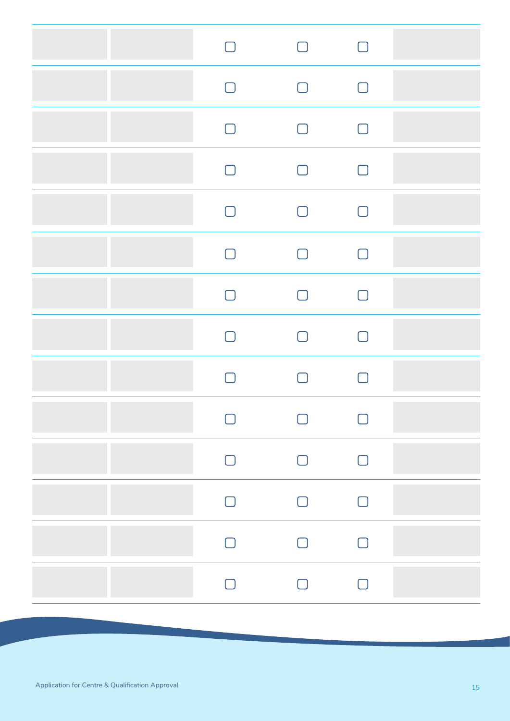| $\Box$ | $\Box$ | $\Box$ |  |
|--------|--------|--------|--|
| $\Box$ | $\Box$ | $\Box$ |  |
| $\Box$ | $\Box$ | $\Box$ |  |
| $\Box$ | $\Box$ | $\Box$ |  |
| $\Box$ | $\Box$ | $\Box$ |  |
| $\Box$ | $\Box$ | $\Box$ |  |
| $\Box$ | $\Box$ | $\Box$ |  |
| $\Box$ | $\Box$ | $\Box$ |  |
| $\Box$ | $\Box$ | $\Box$ |  |
|        | ∩      |        |  |
| $\Box$ | $\Box$ | $\Box$ |  |
| $\Box$ | $\Box$ | $\Box$ |  |
| $\Box$ | $\Box$ | $\Box$ |  |
| $\Box$ | $\Box$ | $\Box$ |  |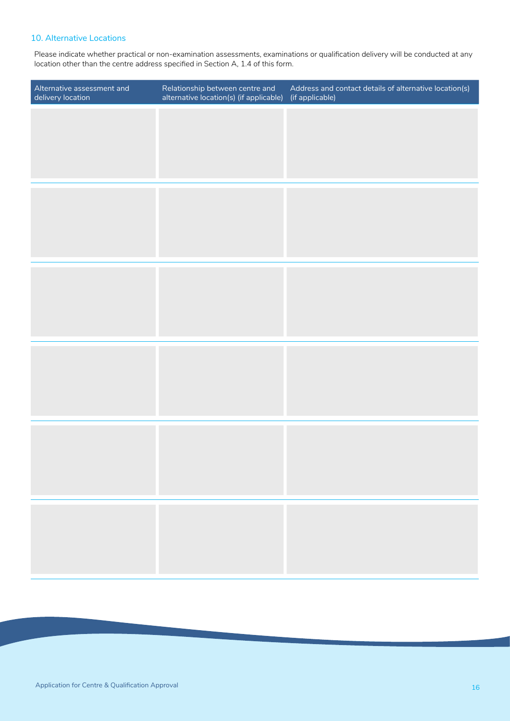#### 10. Alternative Locations

Please indicate whether practical or non-examination assessments, examinations or qualification delivery will be conducted at any location other than the centre address specified in Section A, 1.4 of this form.

| Alternative assessment and<br>delivery location | Relationship between centre and<br>alternative location(s) (if applicable) | Address and contact details of alternative location(s)<br>(if applicable) |
|-------------------------------------------------|----------------------------------------------------------------------------|---------------------------------------------------------------------------|
|                                                 |                                                                            |                                                                           |
|                                                 |                                                                            |                                                                           |
|                                                 |                                                                            |                                                                           |
|                                                 |                                                                            |                                                                           |
|                                                 |                                                                            |                                                                           |
|                                                 |                                                                            |                                                                           |
|                                                 |                                                                            |                                                                           |
|                                                 |                                                                            |                                                                           |
|                                                 |                                                                            |                                                                           |
|                                                 |                                                                            |                                                                           |
|                                                 |                                                                            |                                                                           |
|                                                 |                                                                            |                                                                           |
|                                                 |                                                                            |                                                                           |
|                                                 |                                                                            |                                                                           |
|                                                 |                                                                            |                                                                           |
|                                                 |                                                                            |                                                                           |
|                                                 |                                                                            |                                                                           |
|                                                 |                                                                            |                                                                           |
|                                                 |                                                                            |                                                                           |